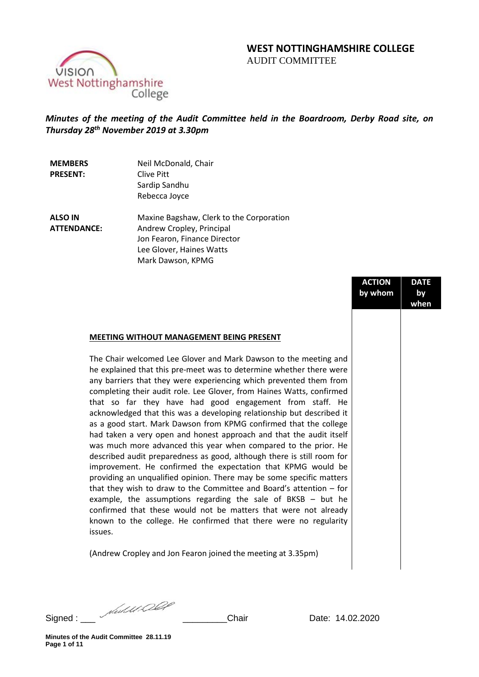# **WEST NOTTINGHAMSHIRE COLLEGE**  AUDIT COMMITTEE

**ACTION by whom**

**DATE by when**



# *Minutes of the meeting of the Audit Committee held in the Boardroom, Derby Road site, on Thursday 28th November 2019 at 3.30pm*

| <b>MEMBERS</b>     | Neil McDonald, Chair                     |
|--------------------|------------------------------------------|
| <b>PRESENT:</b>    | Clive Pitt                               |
|                    | Sardip Sandhu                            |
|                    | Rebecca Joyce                            |
| <b>ALSO IN</b>     | Maxine Bagshaw, Clerk to the Corporation |
| <b>ATTENDANCE:</b> | Andrew Cropley, Principal                |
|                    | Jon Fearon, Finance Director             |
|                    | Lee Glover, Haines Watts                 |
|                    | Mark Dawson, KPMG                        |
|                    |                                          |
|                    |                                          |
|                    |                                          |

#### **MEETING WITHOUT MANAGEMENT BEING PRESENT**

The Chair welcomed Lee Glover and Mark Dawson to the meeting and he explained that this pre-meet was to determine whether there were any barriers that they were experiencing which prevented them from completing their audit role. Lee Glover, from Haines Watts, confirmed that so far they have had good engagement from staff. He acknowledged that this was a developing relationship but described it as a good start. Mark Dawson from KPMG confirmed that the college had taken a very open and honest approach and that the audit itself was much more advanced this year when compared to the prior. He described audit preparedness as good, although there is still room for improvement. He confirmed the expectation that KPMG would be providing an unqualified opinion. There may be some specific matters that they wish to draw to the Committee and Board's attention – for example, the assumptions regarding the sale of BKSB – but he confirmed that these would not be matters that were not already known to the college. He confirmed that there were no regularity issues.

(Andrew Cropley and Jon Fearon joined the meeting at 3.35pm)

Signed : \_\_\_ \_\_\_\_\_\_\_\_\_Chair Date: 14.02.2020

**Minutes of the Audit Committee 28.11.19 Page 1 of 11**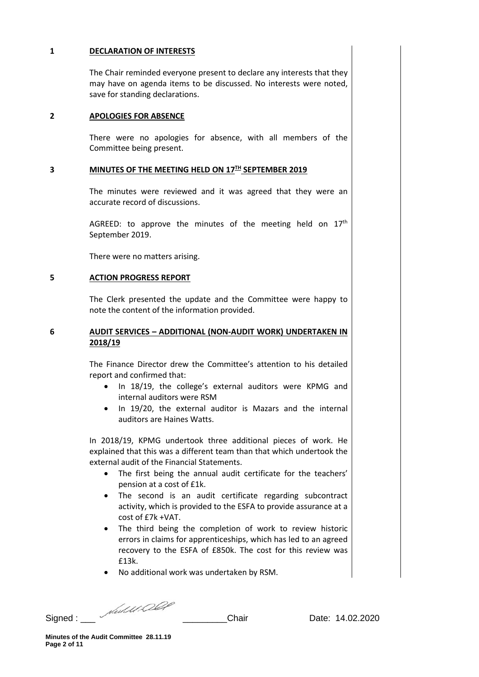# **1 DECLARATION OF INTERESTS**

The Chair reminded everyone present to declare any interests that they may have on agenda items to be discussed. No interests were noted, save for standing declarations.

#### **2 APOLOGIES FOR ABSENCE**

There were no apologies for absence, with all members of the Committee being present.

# **3 MINUTES OF THE MEETING HELD ON 17TH SEPTEMBER 2019**

The minutes were reviewed and it was agreed that they were an accurate record of discussions.

AGREED: to approve the minutes of the meeting held on  $17<sup>th</sup>$ September 2019.

There were no matters arising.

### **5 ACTION PROGRESS REPORT**

The Clerk presented the update and the Committee were happy to note the content of the information provided.

# **6 AUDIT SERVICES – ADDITIONAL (NON-AUDIT WORK) UNDERTAKEN IN 2018/19**

The Finance Director drew the Committee's attention to his detailed report and confirmed that:

- In 18/19, the college's external auditors were KPMG and internal auditors were RSM
- In 19/20, the external auditor is Mazars and the internal auditors are Haines Watts.

In 2018/19, KPMG undertook three additional pieces of work. He explained that this was a different team than that which undertook the external audit of the Financial Statements.

- The first being the annual audit certificate for the teachers' pension at a cost of £1k.
- The second is an audit certificate regarding subcontract activity, which is provided to the ESFA to provide assurance at a cost of £7k +VAT.
- The third being the completion of work to review historic errors in claims for apprenticeships, which has led to an agreed recovery to the ESFA of £850k. The cost for this review was £13k.
- No additional work was undertaken by RSM.

Signed : \_\_\_ \_\_\_\_\_\_\_\_\_Chair Date: 14.02.2020

**Minutes of the Audit Committee 28.11.19 Page 2 of 11**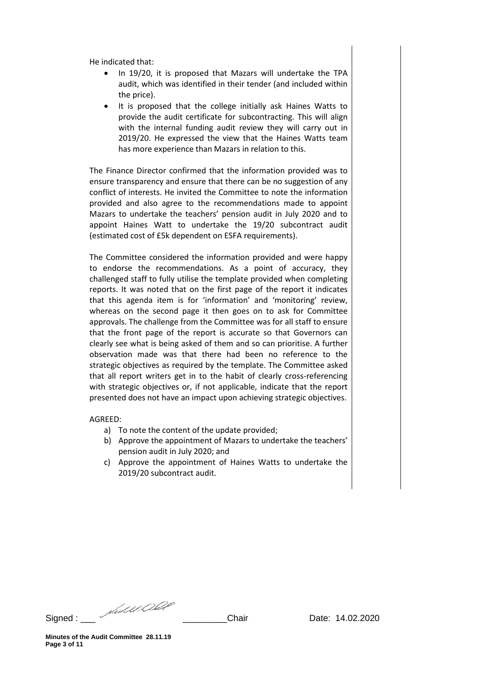He indicated that:

- In 19/20, it is proposed that Mazars will undertake the TPA audit, which was identified in their tender (and included within the price).
- It is proposed that the college initially ask Haines Watts to provide the audit certificate for subcontracting. This will align with the internal funding audit review they will carry out in 2019/20. He expressed the view that the Haines Watts team has more experience than Mazars in relation to this.

The Finance Director confirmed that the information provided was to ensure transparency and ensure that there can be no suggestion of any conflict of interests. He invited the Committee to note the information provided and also agree to the recommendations made to appoint Mazars to undertake the teachers' pension audit in July 2020 and to appoint Haines Watt to undertake the 19/20 subcontract audit (estimated cost of £5k dependent on ESFA requirements).

The Committee considered the information provided and were happy to endorse the recommendations. As a point of accuracy, they challenged staff to fully utilise the template provided when completing reports. It was noted that on the first page of the report it indicates that this agenda item is for 'information' and 'monitoring' review, whereas on the second page it then goes on to ask for Committee approvals. The challenge from the Committee was for all staff to ensure that the front page of the report is accurate so that Governors can clearly see what is being asked of them and so can prioritise. A further observation made was that there had been no reference to the strategic objectives as required by the template. The Committee asked that all report writers get in to the habit of clearly cross-referencing with strategic objectives or, if not applicable, indicate that the report presented does not have an impact upon achieving strategic objectives.

#### AGREED:

- a) To note the content of the update provided;
- b) Approve the appointment of Mazars to undertake the teachers' pension audit in July 2020; and
- c) Approve the appointment of Haines Watts to undertake the 2019/20 subcontract audit.

Signed : \_\_\_ \_\_\_\_\_\_\_\_\_Chair Date: 14.02.2020

**Minutes of the Audit Committee 28.11.19 Page 3 of 11**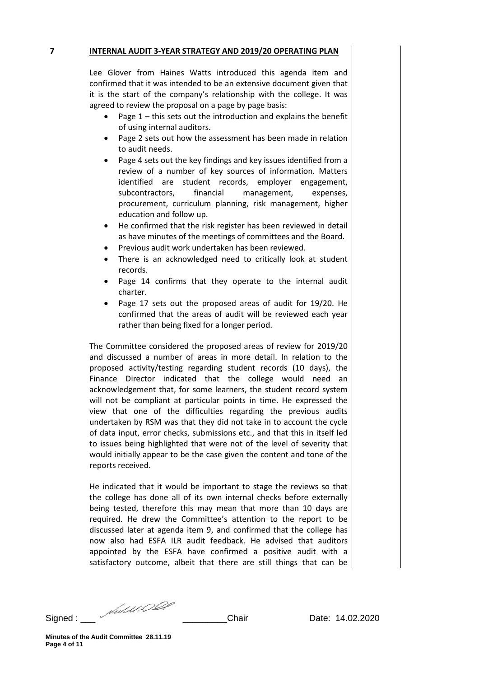# **7 INTERNAL AUDIT 3-YEAR STRATEGY AND 2019/20 OPERATING PLAN**

Lee Glover from Haines Watts introduced this agenda item and confirmed that it was intended to be an extensive document given that it is the start of the company's relationship with the college. It was agreed to review the proposal on a page by page basis:

- Page  $1$  this sets out the introduction and explains the benefit of using internal auditors.
- Page 2 sets out how the assessment has been made in relation to audit needs.
- Page 4 sets out the key findings and key issues identified from a review of a number of key sources of information. Matters identified are student records, employer engagement, subcontractors, financial management, expenses, procurement, curriculum planning, risk management, higher education and follow up.
- He confirmed that the risk register has been reviewed in detail as have minutes of the meetings of committees and the Board.
- Previous audit work undertaken has been reviewed.
- There is an acknowledged need to critically look at student records.
- Page 14 confirms that they operate to the internal audit charter.
- Page 17 sets out the proposed areas of audit for 19/20. He confirmed that the areas of audit will be reviewed each year rather than being fixed for a longer period.

The Committee considered the proposed areas of review for 2019/20 and discussed a number of areas in more detail. In relation to the proposed activity/testing regarding student records (10 days), the Finance Director indicated that the college would need an acknowledgement that, for some learners, the student record system will not be compliant at particular points in time. He expressed the view that one of the difficulties regarding the previous audits undertaken by RSM was that they did not take in to account the cycle of data input, error checks, submissions etc., and that this in itself led to issues being highlighted that were not of the level of severity that would initially appear to be the case given the content and tone of the reports received.

He indicated that it would be important to stage the reviews so that the college has done all of its own internal checks before externally being tested, therefore this may mean that more than 10 days are required. He drew the Committee's attention to the report to be discussed later at agenda item 9, and confirmed that the college has now also had ESFA ILR audit feedback. He advised that auditors appointed by the ESFA have confirmed a positive audit with a satisfactory outcome, albeit that there are still things that can be

Signed : \_\_\_ \_\_\_\_\_\_\_\_\_Chair Date: 14.02.2020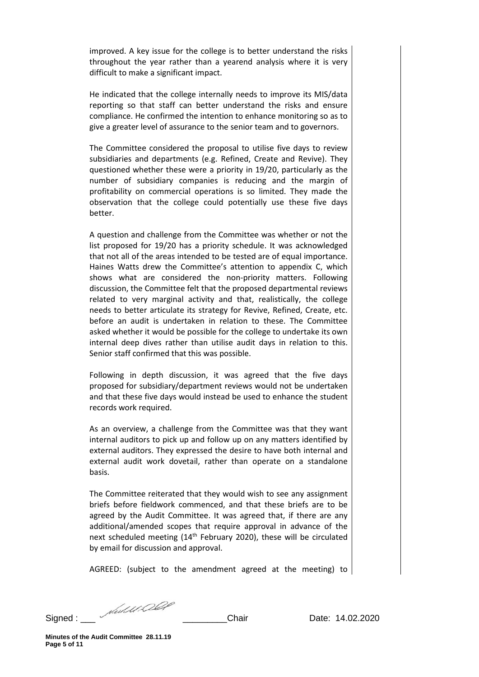improved. A key issue for the college is to better understand the risks throughout the year rather than a yearend analysis where it is very difficult to make a significant impact.

He indicated that the college internally needs to improve its MIS/data reporting so that staff can better understand the risks and ensure compliance. He confirmed the intention to enhance monitoring so as to give a greater level of assurance to the senior team and to governors.

The Committee considered the proposal to utilise five days to review subsidiaries and departments (e.g. Refined, Create and Revive). They questioned whether these were a priority in 19/20, particularly as the number of subsidiary companies is reducing and the margin of profitability on commercial operations is so limited. They made the observation that the college could potentially use these five days better.

A question and challenge from the Committee was whether or not the list proposed for 19/20 has a priority schedule. It was acknowledged that not all of the areas intended to be tested are of equal importance. Haines Watts drew the Committee's attention to appendix C, which shows what are considered the non-priority matters. Following discussion, the Committee felt that the proposed departmental reviews related to very marginal activity and that, realistically, the college needs to better articulate its strategy for Revive, Refined, Create, etc. before an audit is undertaken in relation to these. The Committee asked whether it would be possible for the college to undertake its own internal deep dives rather than utilise audit days in relation to this. Senior staff confirmed that this was possible.

Following in depth discussion, it was agreed that the five days proposed for subsidiary/department reviews would not be undertaken and that these five days would instead be used to enhance the student records work required.

As an overview, a challenge from the Committee was that they want internal auditors to pick up and follow up on any matters identified by external auditors. They expressed the desire to have both internal and external audit work dovetail, rather than operate on a standalone basis.

The Committee reiterated that they would wish to see any assignment briefs before fieldwork commenced, and that these briefs are to be agreed by the Audit Committee. It was agreed that, if there are any additional/amended scopes that require approval in advance of the next scheduled meeting (14th February 2020), these will be circulated by email for discussion and approval.

AGREED: (subject to the amendment agreed at the meeting) to

Signed : \_\_\_ \_\_\_\_\_\_\_\_\_Chair Date: 14.02.2020

**Minutes of the Audit Committee 28.11.19 Page 5 of 11**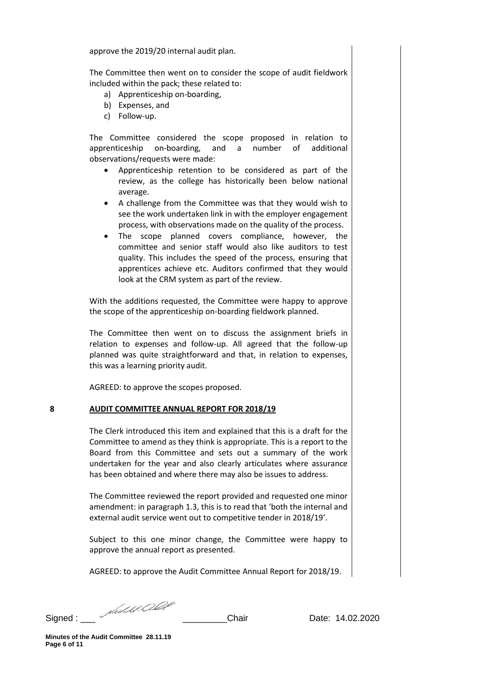approve the 2019/20 internal audit plan.

The Committee then went on to consider the scope of audit fieldwork included within the pack; these related to:

- a) Apprenticeship on-boarding,
- b) Expenses, and
- c) Follow-up.

The Committee considered the scope proposed in relation to apprenticeship on-boarding, and a number of additional observations/requests were made:

- Apprenticeship retention to be considered as part of the review, as the college has historically been below national average.
- A challenge from the Committee was that they would wish to see the work undertaken link in with the employer engagement process, with observations made on the quality of the process.
- The scope planned covers compliance, however, the committee and senior staff would also like auditors to test quality. This includes the speed of the process, ensuring that apprentices achieve etc. Auditors confirmed that they would look at the CRM system as part of the review.

With the additions requested, the Committee were happy to approve the scope of the apprenticeship on-boarding fieldwork planned.

The Committee then went on to discuss the assignment briefs in relation to expenses and follow-up. All agreed that the follow-up planned was quite straightforward and that, in relation to expenses, this was a learning priority audit.

AGREED: to approve the scopes proposed.

#### **8 AUDIT COMMITTEE ANNUAL REPORT FOR 2018/19**

The Clerk introduced this item and explained that this is a draft for the Committee to amend as they think is appropriate. This is a report to the Board from this Committee and sets out a summary of the work undertaken for the year and also clearly articulates where assurance has been obtained and where there may also be issues to address.

The Committee reviewed the report provided and requested one minor amendment: in paragraph 1.3, this is to read that 'both the internal and external audit service went out to competitive tender in 2018/19'.

Subject to this one minor change, the Committee were happy to approve the annual report as presented.

AGREED: to approve the Audit Committee Annual Report for 2018/19.

Signed : \_\_\_ \_\_\_\_\_\_\_\_\_Chair Date: 14.02.2020

**Minutes of the Audit Committee 28.11.19 Page 6 of 11**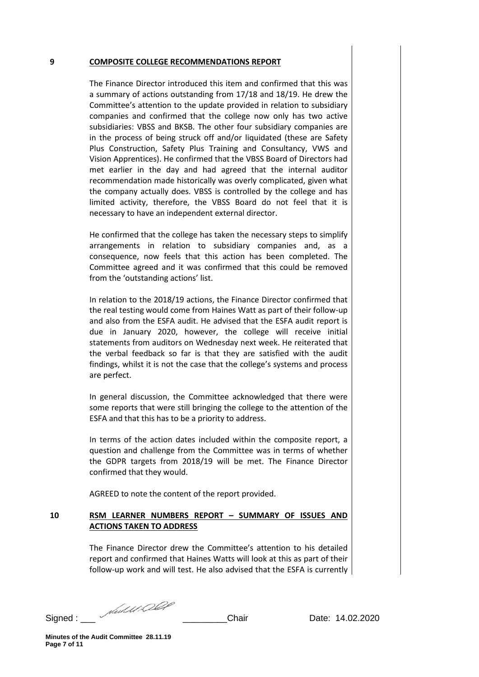#### **9 COMPOSITE COLLEGE RECOMMENDATIONS REPORT**

The Finance Director introduced this item and confirmed that this was a summary of actions outstanding from 17/18 and 18/19. He drew the Committee's attention to the update provided in relation to subsidiary companies and confirmed that the college now only has two active subsidiaries: VBSS and BKSB. The other four subsidiary companies are in the process of being struck off and/or liquidated (these are Safety Plus Construction, Safety Plus Training and Consultancy, VWS and Vision Apprentices). He confirmed that the VBSS Board of Directors had met earlier in the day and had agreed that the internal auditor recommendation made historically was overly complicated, given what the company actually does. VBSS is controlled by the college and has limited activity, therefore, the VBSS Board do not feel that it is necessary to have an independent external director.

He confirmed that the college has taken the necessary steps to simplify arrangements in relation to subsidiary companies and, as a consequence, now feels that this action has been completed. The Committee agreed and it was confirmed that this could be removed from the 'outstanding actions' list.

In relation to the 2018/19 actions, the Finance Director confirmed that the real testing would come from Haines Watt as part of their follow-up and also from the ESFA audit. He advised that the ESFA audit report is due in January 2020, however, the college will receive initial statements from auditors on Wednesday next week. He reiterated that the verbal feedback so far is that they are satisfied with the audit findings, whilst it is not the case that the college's systems and process are perfect.

In general discussion, the Committee acknowledged that there were some reports that were still bringing the college to the attention of the ESFA and that this has to be a priority to address.

In terms of the action dates included within the composite report, a question and challenge from the Committee was in terms of whether the GDPR targets from 2018/19 will be met. The Finance Director confirmed that they would.

AGREED to note the content of the report provided.

# **10 RSM LEARNER NUMBERS REPORT – SUMMARY OF ISSUES AND ACTIONS TAKEN TO ADDRESS**

The Finance Director drew the Committee's attention to his detailed report and confirmed that Haines Watts will look at this as part of their follow-up work and will test. He also advised that the ESFA is currently

Signed : \_\_\_ \_\_\_\_\_\_\_\_\_Chair Date: 14.02.2020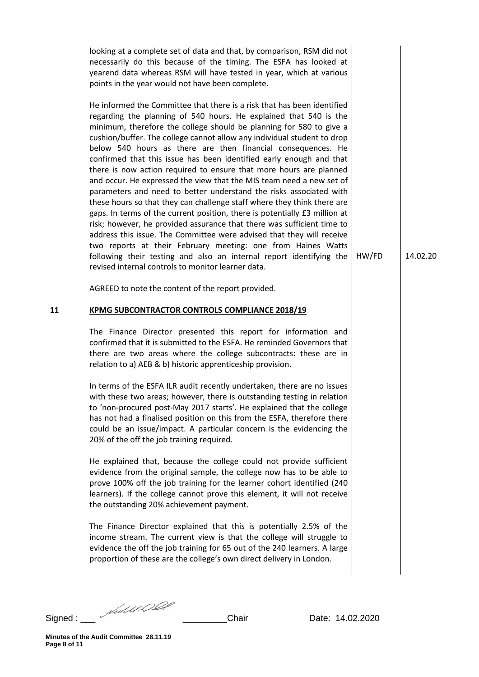|    | looking at a complete set of data and that, by comparison, RSM did not<br>necessarily do this because of the timing. The ESFA has looked at<br>yearend data whereas RSM will have tested in year, which at various<br>points in the year would not have been complete.                                                                                                                                                                                                                                                                                                                                                                                                                                                                                                                                                                                                                                                                                                                                                                                                                                                                                             |       |          |
|----|--------------------------------------------------------------------------------------------------------------------------------------------------------------------------------------------------------------------------------------------------------------------------------------------------------------------------------------------------------------------------------------------------------------------------------------------------------------------------------------------------------------------------------------------------------------------------------------------------------------------------------------------------------------------------------------------------------------------------------------------------------------------------------------------------------------------------------------------------------------------------------------------------------------------------------------------------------------------------------------------------------------------------------------------------------------------------------------------------------------------------------------------------------------------|-------|----------|
|    | He informed the Committee that there is a risk that has been identified<br>regarding the planning of 540 hours. He explained that 540 is the<br>minimum, therefore the college should be planning for 580 to give a<br>cushion/buffer. The college cannot allow any individual student to drop<br>below 540 hours as there are then financial consequences. He<br>confirmed that this issue has been identified early enough and that<br>there is now action required to ensure that more hours are planned<br>and occur. He expressed the view that the MIS team need a new set of<br>parameters and need to better understand the risks associated with<br>these hours so that they can challenge staff where they think there are<br>gaps. In terms of the current position, there is potentially £3 million at<br>risk; however, he provided assurance that there was sufficient time to<br>address this issue. The Committee were advised that they will receive<br>two reports at their February meeting: one from Haines Watts<br>following their testing and also an internal report identifying the<br>revised internal controls to monitor learner data. | HW/FD | 14.02.20 |
|    | AGREED to note the content of the report provided.                                                                                                                                                                                                                                                                                                                                                                                                                                                                                                                                                                                                                                                                                                                                                                                                                                                                                                                                                                                                                                                                                                                 |       |          |
| 11 | <b>KPMG SUBCONTRACTOR CONTROLS COMPLIANCE 2018/19</b>                                                                                                                                                                                                                                                                                                                                                                                                                                                                                                                                                                                                                                                                                                                                                                                                                                                                                                                                                                                                                                                                                                              |       |          |
|    | The Finance Director presented this report for information and<br>confirmed that it is submitted to the ESFA. He reminded Governors that<br>there are two areas where the college subcontracts: these are in<br>relation to a) AEB & b) historic apprenticeship provision.                                                                                                                                                                                                                                                                                                                                                                                                                                                                                                                                                                                                                                                                                                                                                                                                                                                                                         |       |          |
|    | In terms of the ESFA ILR audit recently undertaken, there are no issues<br>with these two areas; however, there is outstanding testing in relation<br>to 'non-procured post-May 2017 starts'. He explained that the college<br>has not had a finalised position on this from the ESFA, therefore there<br>could be an issue/impact. A particular concern is the evidencing the<br>20% of the off the job training required.                                                                                                                                                                                                                                                                                                                                                                                                                                                                                                                                                                                                                                                                                                                                        |       |          |
|    | He explained that, because the college could not provide sufficient<br>evidence from the original sample, the college now has to be able to<br>prove 100% off the job training for the learner cohort identified (240<br>learners). If the college cannot prove this element, it will not receive<br>the outstanding 20% achievement payment.                                                                                                                                                                                                                                                                                                                                                                                                                                                                                                                                                                                                                                                                                                                                                                                                                      |       |          |
|    | The Finance Director explained that this is potentially 2.5% of the<br>income stream. The current view is that the college will struggle to<br>evidence the off the job training for 65 out of the 240 learners. A large<br>proportion of these are the college's own direct delivery in London.                                                                                                                                                                                                                                                                                                                                                                                                                                                                                                                                                                                                                                                                                                                                                                                                                                                                   |       |          |
|    |                                                                                                                                                                                                                                                                                                                                                                                                                                                                                                                                                                                                                                                                                                                                                                                                                                                                                                                                                                                                                                                                                                                                                                    |       |          |

Signed : \_\_\_ \_\_\_\_\_\_\_\_\_Chair Date: 14.02.2020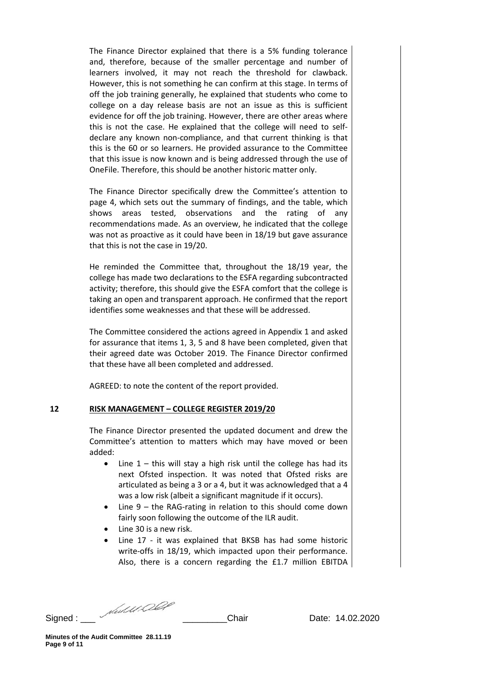The Finance Director explained that there is a 5% funding tolerance and, therefore, because of the smaller percentage and number of learners involved, it may not reach the threshold for clawback. However, this is not something he can confirm at this stage. In terms of off the job training generally, he explained that students who come to college on a day release basis are not an issue as this is sufficient evidence for off the job training. However, there are other areas where this is not the case. He explained that the college will need to selfdeclare any known non-compliance, and that current thinking is that this is the 60 or so learners. He provided assurance to the Committee that this issue is now known and is being addressed through the use of OneFile. Therefore, this should be another historic matter only.

The Finance Director specifically drew the Committee's attention to page 4, which sets out the summary of findings, and the table, which shows areas tested, observations and the rating of any recommendations made. As an overview, he indicated that the college was not as proactive as it could have been in 18/19 but gave assurance that this is not the case in 19/20.

He reminded the Committee that, throughout the 18/19 year, the college has made two declarations to the ESFA regarding subcontracted activity; therefore, this should give the ESFA comfort that the college is taking an open and transparent approach. He confirmed that the report identifies some weaknesses and that these will be addressed.

The Committee considered the actions agreed in Appendix 1 and asked for assurance that items 1, 3, 5 and 8 have been completed, given that their agreed date was October 2019. The Finance Director confirmed that these have all been completed and addressed.

AGREED: to note the content of the report provided.

# **12 RISK MANAGEMENT – COLLEGE REGISTER 2019/20**

The Finance Director presented the updated document and drew the Committee's attention to matters which may have moved or been added:

- Line  $1$  this will stay a high risk until the college has had its next Ofsted inspection. It was noted that Ofsted risks are articulated as being a 3 or a 4, but it was acknowledged that a 4 was a low risk (albeit a significant magnitude if it occurs).
- Line 9 the RAG-rating in relation to this should come down fairly soon following the outcome of the ILR audit.
- Line 30 is a new risk.
- Line 17 it was explained that BKSB has had some historic write-offs in 18/19, which impacted upon their performance. Also, there is a concern regarding the £1.7 million EBITDA

Signed : \_\_\_ \_\_\_\_\_\_\_\_\_Chair Date: 14.02.2020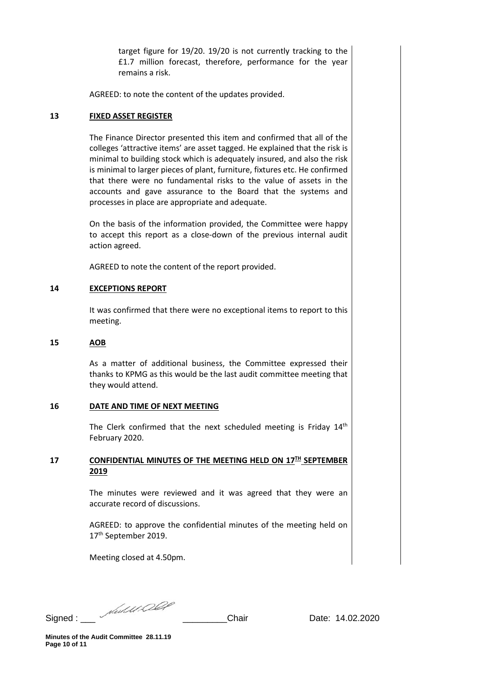target figure for 19/20. 19/20 is not currently tracking to the £1.7 million forecast, therefore, performance for the year remains a risk.

AGREED: to note the content of the updates provided.

# **13 FIXED ASSET REGISTER**

The Finance Director presented this item and confirmed that all of the colleges 'attractive items' are asset tagged. He explained that the risk is minimal to building stock which is adequately insured, and also the risk is minimal to larger pieces of plant, furniture, fixtures etc. He confirmed that there were no fundamental risks to the value of assets in the accounts and gave assurance to the Board that the systems and processes in place are appropriate and adequate.

On the basis of the information provided, the Committee were happy to accept this report as a close-down of the previous internal audit action agreed.

AGREED to note the content of the report provided.

### **14 EXCEPTIONS REPORT**

It was confirmed that there were no exceptional items to report to this meeting.

#### **15 AOB**

As a matter of additional business, the Committee expressed their thanks to KPMG as this would be the last audit committee meeting that they would attend.

# **16 DATE AND TIME OF NEXT MEETING**

The Clerk confirmed that the next scheduled meeting is Friday 14th February 2020.

# **17 CONFIDENTIAL MINUTES OF THE MEETING HELD ON 17TH SEPTEMBER 2019**

The minutes were reviewed and it was agreed that they were an accurate record of discussions.

AGREED: to approve the confidential minutes of the meeting held on 17<sup>th</sup> September 2019.

Meeting closed at 4.50pm.

Signed : \_\_\_ \_\_\_\_\_\_\_\_\_Chair Date: 14.02.2020

**Minutes of the Audit Committee 28.11.19 Page 10 of 11**